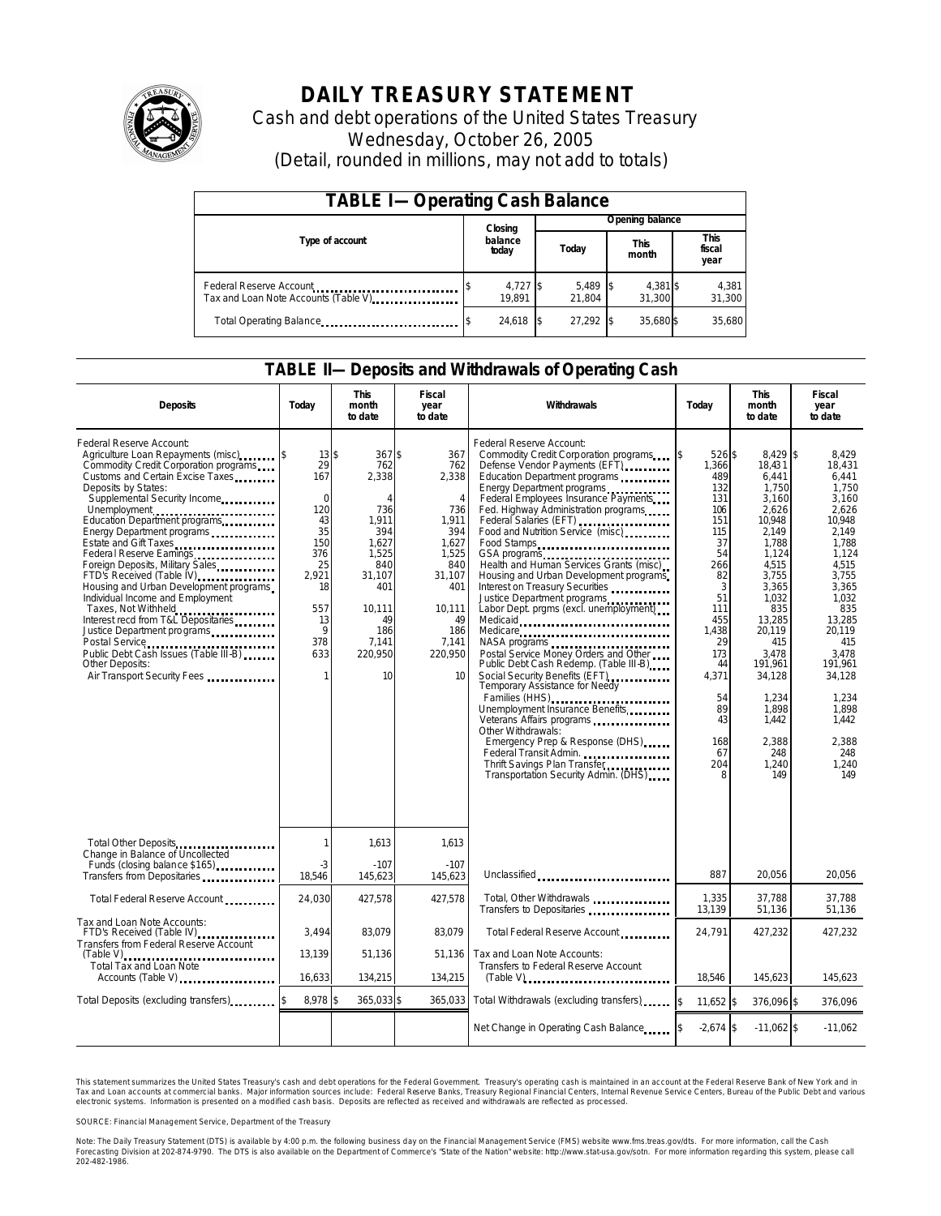

# **DAILY TREASURY STATEMENT**

Cash and debt operations of the United States Treasury Wednesday, October 26, 2005 (Detail, rounded in millions, may not add to totals)

| <b>TABLE I-Operating Cash Balance</b>                           |                  |                    |  |                    |  |                      |  |                        |
|-----------------------------------------------------------------|------------------|--------------------|--|--------------------|--|----------------------|--|------------------------|
|                                                                 |                  | Closing            |  | Opening balance    |  |                      |  |                        |
| Type of account                                                 | balance<br>today |                    |  | Today              |  | <b>This</b><br>month |  | This<br>fiscal<br>year |
| Federal Reserve Account<br>Tax and Loan Note Accounts (Table V) |                  | 4,727 \$<br>19.891 |  | 5,489 \$<br>21.804 |  | 4,381 \$<br>31.300   |  | 4,381<br>31,300        |
| Total Operating Balance                                         |                  | 24,618 \$          |  | 27.292             |  | 35.680\$             |  | 35,680                 |

#### **TABLE II—Deposits and Withdrawals of Operating Cash**

| <b>Deposits</b>                                                                                                                                                                                                                                                                                                                                                                                                                                                                                                                                                                                                                                                                                                 | Today                                                                                                                                  | <b>This</b><br>month<br>to date                                                                                                                        | Fiscal<br>year<br>to date                                                                                                                               | Withdrawals                                                                                                                                                                                                                                                                                                                                                                                                                                                                                                                                                                                                                                                                                                                                                                                                                                                                                                                                                                   | Today                                                                                                                                                                                             | <b>This</b><br>month<br>to date                                                                                                                                                                                                                            | Fiscal<br>year<br>to date                                                                                                                                                                                                                               |
|-----------------------------------------------------------------------------------------------------------------------------------------------------------------------------------------------------------------------------------------------------------------------------------------------------------------------------------------------------------------------------------------------------------------------------------------------------------------------------------------------------------------------------------------------------------------------------------------------------------------------------------------------------------------------------------------------------------------|----------------------------------------------------------------------------------------------------------------------------------------|--------------------------------------------------------------------------------------------------------------------------------------------------------|---------------------------------------------------------------------------------------------------------------------------------------------------------|-------------------------------------------------------------------------------------------------------------------------------------------------------------------------------------------------------------------------------------------------------------------------------------------------------------------------------------------------------------------------------------------------------------------------------------------------------------------------------------------------------------------------------------------------------------------------------------------------------------------------------------------------------------------------------------------------------------------------------------------------------------------------------------------------------------------------------------------------------------------------------------------------------------------------------------------------------------------------------|---------------------------------------------------------------------------------------------------------------------------------------------------------------------------------------------------|------------------------------------------------------------------------------------------------------------------------------------------------------------------------------------------------------------------------------------------------------------|---------------------------------------------------------------------------------------------------------------------------------------------------------------------------------------------------------------------------------------------------------|
| Federal Reserve Account:<br>Agriculture Loan Repayments (misc)<br>Commodity Credit Corporation programs<br>Customs and Certain Excise Taxes<br>Deposits by States:<br>Supplemental Security Income<br>Unemployment<br>Education Department programs<br>Energy Department programs<br>Estate and Gift Taxes<br>Federal Reserve Earnings<br>Foreign Deposits, Military Sales<br>FTD's Received (Table IV) <b>FTD</b> 's Received (Table IV)<br>Housing and Urban Development programs<br>Individual Income and Employment<br>Taxes, Not Withheld<br>Interest recd from T&L Depositaries<br>Justice Department programs<br>Public Debt Cash Issues (Table III-B)<br>Other Deposits:<br>Air Transport Security Fees | $13$ \$<br>29<br>167<br>$\Omega$<br>120<br>43<br>35<br>150<br>376<br>25<br>2,921<br>18<br>557<br>13<br>9<br>378<br>633<br>$\mathbf{1}$ | $367$ \$<br>762<br>2,338<br>$\Delta$<br>736<br>1,911<br>394<br>1.627<br>1.525<br>840<br>31,107<br>401<br>10.111<br>49<br>186<br>7.141<br>220.950<br>10 | 367<br>762<br>2,338<br>$\overline{4}$<br>736<br>1,911<br>394<br>1.627<br>1,525<br>840<br>31,107<br>401<br>10,111<br>49<br>186<br>7.141<br>220.950<br>10 | Federal Reserve Account:<br>Commodity Credit Corporation programs<br>Defense Vendor Payments (EFT)<br>Education Department programs<br>Energy Department programs<br>Federal Employees Insurance Payments<br>Fed. Highway Administration programs<br>Federal Salaries (EFT)<br>Food and Nutrition Service (misc)<br>Food Stamps<br>Health and Human Services Grants (misc)<br>Housing and Urban Development programs<br>Interest on Treasury Securities<br>Justice Department programs<br>Labor Dept. prgms (excl. unemployment)<br>Medicaid<br>Medicare<br>NASA programs<br>Postal Service Money Orders and Other<br>Public Debt Cash Redemp. (Table III-B)<br>Social Security Benefits (EFT)<br>Temporary Assistance for Needy<br>Families (HHS)<br>Unemployment Insurance Benefits<br>Veterans Affairs programs<br>Other Withdrawals:<br>Emergency Prep & Response (DHS)<br>Federal Transit Admin.<br>Thrift Savings Plan Transfer<br>Transportation Security Admin. (DHS) | ß.<br>526 \$<br>1,366<br>489<br>132<br>131<br>106<br>151<br>115<br>37<br>54<br>266<br>82<br>3<br>51<br>111<br>455<br>1,438<br>29<br>173<br>44<br>4,371<br>54<br>89<br>43<br>168<br>67<br>204<br>8 | 8.429 \$<br>18,431<br>6,441<br>1,750<br>3,160<br>2,626<br>10,948<br>2,149<br>1.788<br>1,124<br>4,515<br>3,755<br>3,365<br>1.032<br>835<br>13,285<br>20,119<br>415<br>3.478<br>191,961<br>34,128<br>1,234<br>1,898<br>1.442<br>2.388<br>248<br>1,240<br>149 | 8.429<br>18,431<br>6,441<br>1.750<br>3,160<br>2.626<br>10,948<br>2.149<br>1.788<br>1.124<br>4,515<br>3,755<br>3,365<br>1.032<br>835<br>13.285<br>20.119<br>415<br>3.478<br>191,961<br>34,128<br>1.234<br>1,898<br>1.442<br>2.388<br>248<br>1,240<br>149 |
| Total Other Deposits<br>Change in Balance of Uncollected                                                                                                                                                                                                                                                                                                                                                                                                                                                                                                                                                                                                                                                        | 1                                                                                                                                      | 1.613                                                                                                                                                  | 1.613                                                                                                                                                   |                                                                                                                                                                                                                                                                                                                                                                                                                                                                                                                                                                                                                                                                                                                                                                                                                                                                                                                                                                               |                                                                                                                                                                                                   |                                                                                                                                                                                                                                                            |                                                                                                                                                                                                                                                         |
| Funds (closing balance \$165)<br>Funds (closing balance \$165)<br>Transfers from Depositaries                                                                                                                                                                                                                                                                                                                                                                                                                                                                                                                                                                                                                   | $-3$<br>18,546                                                                                                                         | $-107$<br>145,623                                                                                                                                      | $-107$<br>145,623                                                                                                                                       | Unclassified                                                                                                                                                                                                                                                                                                                                                                                                                                                                                                                                                                                                                                                                                                                                                                                                                                                                                                                                                                  | 887                                                                                                                                                                                               | 20,056                                                                                                                                                                                                                                                     | 20,056                                                                                                                                                                                                                                                  |
| Total Federal Reserve Account                                                                                                                                                                                                                                                                                                                                                                                                                                                                                                                                                                                                                                                                                   | 24,030                                                                                                                                 | 427,578                                                                                                                                                | 427,578                                                                                                                                                 | Total, Other Withdrawals<br>Transfers to Depositaries                                                                                                                                                                                                                                                                                                                                                                                                                                                                                                                                                                                                                                                                                                                                                                                                                                                                                                                         | 1,335<br>13,139                                                                                                                                                                                   | 37.788<br>51,136                                                                                                                                                                                                                                           | 37.788<br>51,136                                                                                                                                                                                                                                        |
| Tax and Loan Note Accounts:<br>FTD's Received (Table IV)<br><b>Transfers from Federal Reserve Account</b>                                                                                                                                                                                                                                                                                                                                                                                                                                                                                                                                                                                                       | 3,494                                                                                                                                  | 83,079                                                                                                                                                 | 83.079                                                                                                                                                  | Total Federal Reserve Account                                                                                                                                                                                                                                                                                                                                                                                                                                                                                                                                                                                                                                                                                                                                                                                                                                                                                                                                                 | 24,791                                                                                                                                                                                            | 427,232                                                                                                                                                                                                                                                    | 427,232                                                                                                                                                                                                                                                 |
| <b>Total Tax and Loan Note</b><br>Accounts (Table V)                                                                                                                                                                                                                                                                                                                                                                                                                                                                                                                                                                                                                                                            | 13.139<br>16.633                                                                                                                       | 51,136<br>134.215                                                                                                                                      | 51.136<br>134,215                                                                                                                                       | Tax and Loan Note Accounts:<br>Transfers to Federal Reserve Account                                                                                                                                                                                                                                                                                                                                                                                                                                                                                                                                                                                                                                                                                                                                                                                                                                                                                                           | 18.546                                                                                                                                                                                            | 145,623                                                                                                                                                                                                                                                    | 145.623                                                                                                                                                                                                                                                 |
| Total Deposits (excluding transfers)                                                                                                                                                                                                                                                                                                                                                                                                                                                                                                                                                                                                                                                                            | 8,978 \$                                                                                                                               | 365,033 \$                                                                                                                                             | 365,033                                                                                                                                                 | Total Withdrawals (excluding transfers)                                                                                                                                                                                                                                                                                                                                                                                                                                                                                                                                                                                                                                                                                                                                                                                                                                                                                                                                       | \$<br>11,652 \$                                                                                                                                                                                   | 376,096 \$                                                                                                                                                                                                                                                 | 376,096                                                                                                                                                                                                                                                 |
|                                                                                                                                                                                                                                                                                                                                                                                                                                                                                                                                                                                                                                                                                                                 |                                                                                                                                        |                                                                                                                                                        |                                                                                                                                                         | Net Change in Operating Cash Balance                                                                                                                                                                                                                                                                                                                                                                                                                                                                                                                                                                                                                                                                                                                                                                                                                                                                                                                                          | $-2,674$ \$                                                                                                                                                                                       | $-11.062$ \$                                                                                                                                                                                                                                               | $-11,062$                                                                                                                                                                                                                                               |

This statement summarizes the United States Treasury's cash and debt operations for the Federal Government. Treasury's operating cash is maintained in an account at the Federal Reserve Bank of New York and in Tax and Loan accounts at commercial banks. Major information sources include: Federal Reserve Banks, Treasury Regional Financial Centers, Internal Revenue Service Centers, Bureau of the Public Debt and various<br>electronic s

SOURCE: Financial Management Service, Department of the Treasury

Note: The Daily Treasury Statement (DTS) is available by 4:00 p.m. the following business day on the Financial Management Service (FMS) website www.fms.treas.gov/dts. For more information, call the Cash<br>Forecasting Divisio 'S) is available by 4:00 p.m. the following business day on the Financial Management Service (FMS) website www.fms.treas.gov/dts. For more information, call the Cash<br>The DTS is also available on the Department of Commerce'